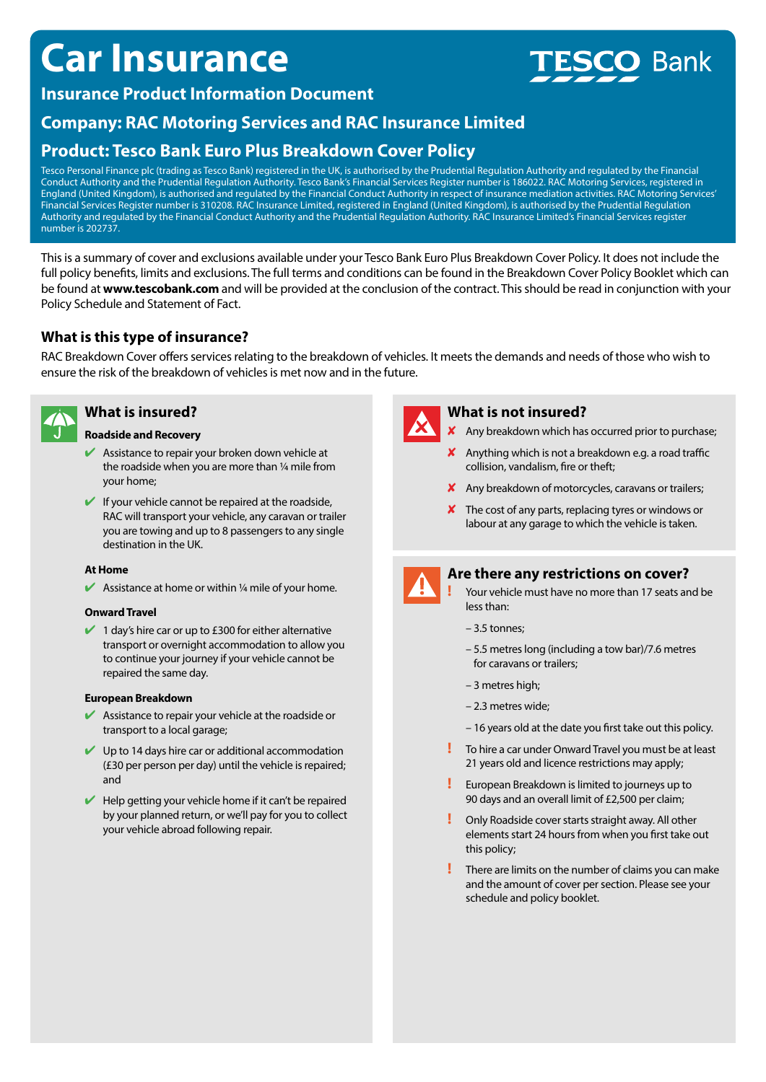# **Car Insurance**

# **Bank**

## **Insurance Product Information Document**

# **Company: RAC Motoring Services and RAC Insurance Limited**

# **Product: Tesco Bank Euro Plus Breakdown Cover Policy**

Tesco Personal Finance plc (trading as Tesco Bank) registered in the UK, is authorised by the Prudential Regulation Authority and regulated by the Financial Conduct Authority and the Prudential Regulation Authority. Tesco Bank's Financial Services Register number is 186022. RAC Motoring Services, registered in England (United Kingdom), is authorised and regulated by the Financial Conduct Authority in respect of insurance mediation activities. RAC Motoring Services' Financial Services Register number is 310208. RAC Insurance Limited, registered in England (United Kingdom), is authorised by the Prudential Regulation Authority and regulated by the Financial Conduct Authority and the Prudential Regulation Authority. RAC Insurance Limited's Financial Services register number is 202737.

This is a summary of cover and exclusions available under your Tesco Bank Euro Plus Breakdown Cover Policy. It does not include the full policy benefits, limits and exclusions. The full terms and conditions can be found in the Breakdown Cover Policy Booklet which can be found at **www.tescobank.com** and will be provided at the conclusion of the contract. This should be read in conjunction with your Policy Schedule and Statement of Fact.

## **What is this type of insurance?**

RAC Breakdown Cover offers services relating to the breakdown of vehicles. It meets the demands and needs of those who wish to ensure the risk of the breakdown of vehicles is met now and in the future.



## **What is insured?**

#### **Roadside and Recovery**

- $\blacktriangleright$  Assistance to repair your broken down vehicle at the roadside when you are more than ¼ mile from your home;
- $\blacktriangleright$  If your vehicle cannot be repaired at the roadside, RAC will transport your vehicle, any caravan or trailer you are towing and up to 8 passengers to any single destination in the UK.

#### **At Home**

 $\blacktriangleright$  Assistance at home or within 1/4 mile of your home.

#### **Onward Travel**

 $\blacktriangleright$  1 day's hire car or up to £300 for either alternative transport or overnight accommodation to allow you to continue your journey if your vehicle cannot be repaired the same day.

#### **European Breakdown**

- $\blacktriangleright$  Assistance to repair your vehicle at the roadside or transport to a local garage;
- $\vee$  Up to 14 days hire car or additional accommodation (£30 per person per day) until the vehicle is repaired; and
- $\blacktriangleright$  Help getting your vehicle home if it can't be repaired by your planned return, or we'll pay for you to collect your vehicle abroad following repair.



## **What is not insured?**

- $\boldsymbol{\times}$  Any breakdown which has occurred prior to purchase;
- $\boldsymbol{\mathsf{X}}$  Anything which is not a breakdown e.g. a road traffic collision, vandalism, fire or theft;
- $\boldsymbol{\mathsf{X}}$  Any breakdown of motorcycles, caravans or trailers;
- $\boldsymbol{\times}$  The cost of any parts, replacing tyres or windows or labour at any garage to which the vehicle is taken.



### **Are there any restrictions on cover?**

- **!** Your vehicle must have no more than 17 seats and be less than:
- 3.5 tonnes;
- 5.5 metres long (including a tow bar)/7.6 metres for caravans or trailers;
- 3 metres high;
- 2.3 metres wide;
- 16 years old at the date you first take out this policy.
- **!** To hire a car under Onward Travel you must be at least 21 years old and licence restrictions may apply;
- **!** European Breakdown is limited to journeys up to 90 days and an overall limit of £2,500 per claim;
- **!** Only Roadside cover starts straight away. All other elements start 24 hours from when you first take out this policy;
- **!** There are limits on the number of claims you can make and the amount of cover per section. Please see your schedule and policy booklet.